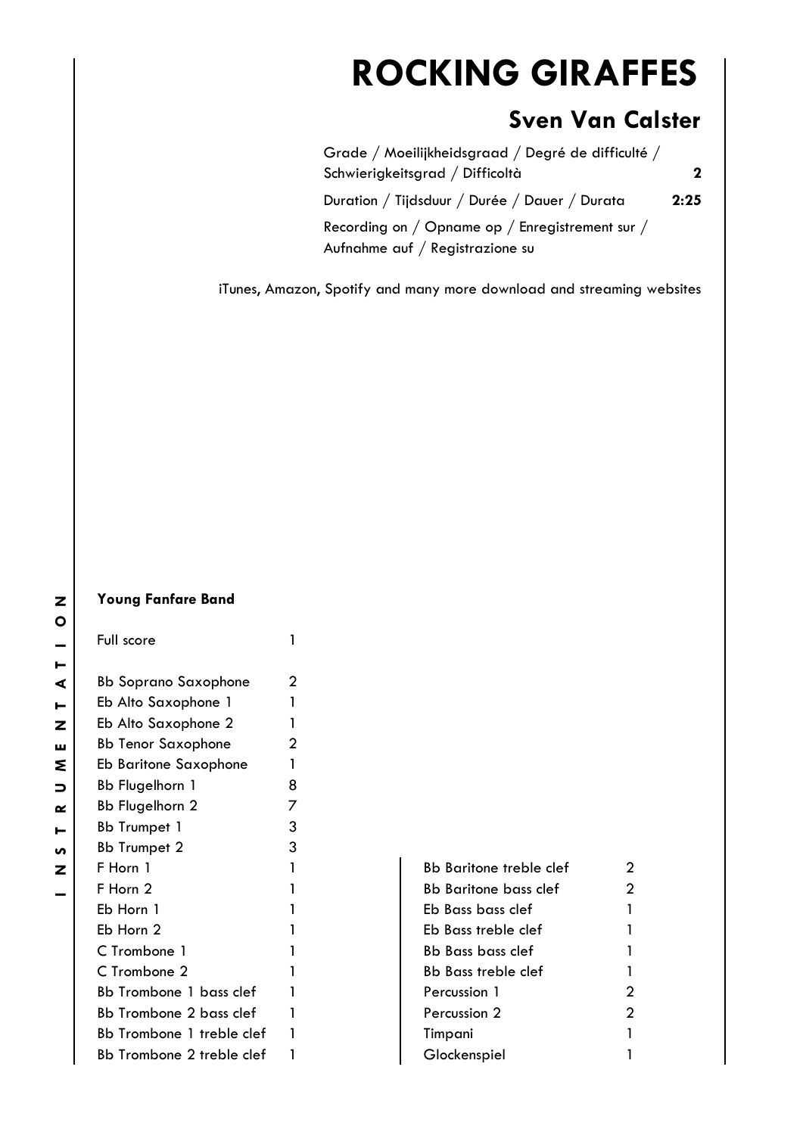## **ROCKING GIRAFFES**

## **Sven Van Calster**

Grade / Moeilijkheidsgraad / Degré de difficulté / Schwierigkeitsgrad / Difficoltà **2** Duration / Tijdsduur / Durée / Dauer / Durata **2:25** Recording on / Opname op / Enregistrement sur / Aufnahme auf / Registrazione su

iTunes, Amazon, Spotify and many more download and streaming websites

## **Young Fanfare Band**

| Full score                  |              |                                |   |
|-----------------------------|--------------|--------------------------------|---|
| <b>Bb Soprano Saxophone</b> | 2            |                                |   |
| Eb Alto Saxophone 1         |              |                                |   |
| Eb Alto Saxophone 2         |              |                                |   |
| <b>Bb Tenor Saxophone</b>   | $\mathbf{2}$ |                                |   |
| Eb Baritone Saxophone       | 1            |                                |   |
| <b>Bb Flugelhorn 1</b>      | 8            |                                |   |
| <b>Bb Flugelhorn 2</b>      |              |                                |   |
| <b>Bb Trumpet 1</b>         | 3            |                                |   |
| <b>Bb Trumpet 2</b>         | 3            |                                |   |
| F Horn 1                    |              | <b>Bb Baritone treble clef</b> | 2 |
| F Horn 2                    |              | <b>Bb Baritone bass clef</b>   | 2 |
| Eb Horn 1                   |              | Eb Bass bass clef              |   |
| Eb Horn 2                   |              | Eb Bass treble clef            |   |
| C Trombone 1                |              | <b>Bb Bass bass clef</b>       |   |
| C Trombone 2                |              | <b>Bb Bass treble clef</b>     |   |
| Bb Trombone 1 bass clef     |              | Percussion 1                   | 2 |
| Bb Trombone 2 bass clef     |              | Percussion 2                   | 2 |
| Bb Trombone 1 treble clef   |              | Timpani                        |   |
| Bb Trombone 2 treble clef   |              | Glockenspiel                   |   |

| F Horn 1                  | <b>Bb Baritone treble clef</b> |  |
|---------------------------|--------------------------------|--|
| F Horn 2                  | <b>Bb Baritone bass clef</b>   |  |
| Eb Horn 1                 | Eb Bass bass clef              |  |
| Eb Horn 2                 | Eb Bass treble clef            |  |
| C Trombone 1              | <b>Bb Bass bass clef</b>       |  |
| C Trombone 2              | Bb Bass treble clef            |  |
| Bb Trombone 1 bass clef   | Percussion 1                   |  |
| Bb Trombone 2 bass clef   | Percussion 2                   |  |
| Bb Trombone 1 treble clef | Timpani                        |  |
| Bb Trombone 2 treble clef | Glockenspiel                   |  |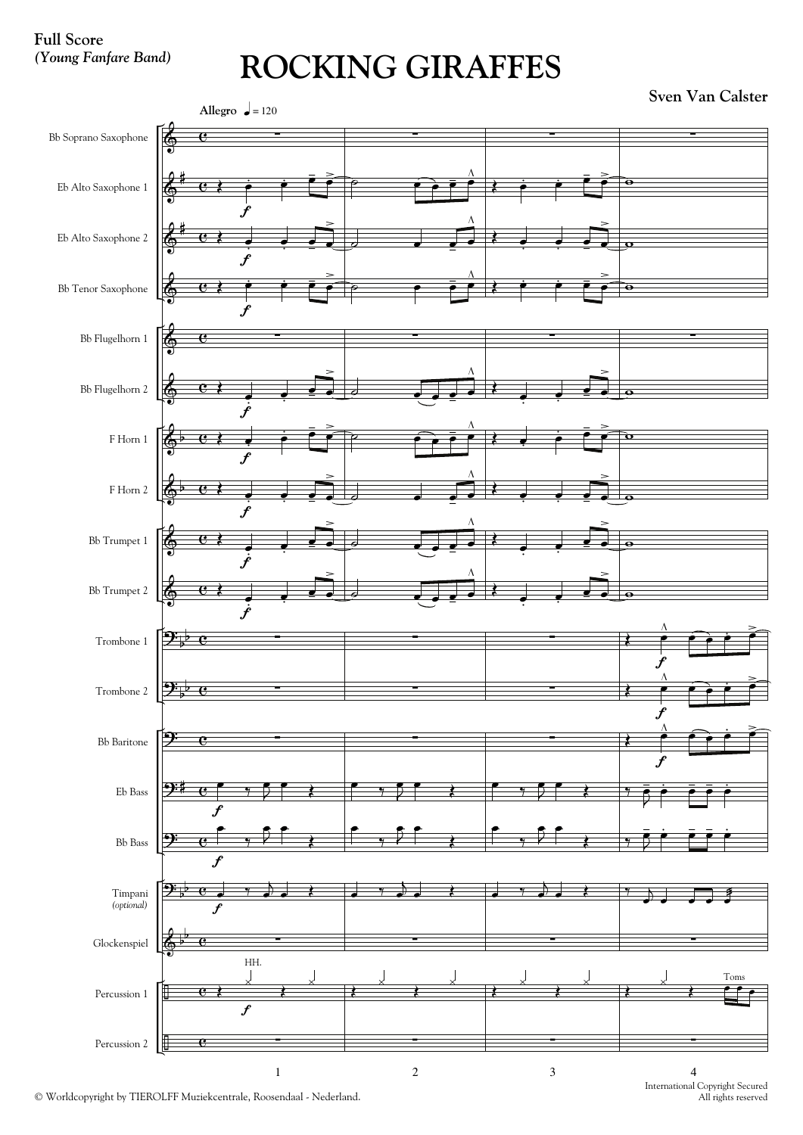**ROCKING GIRAFFES**

## **Sven Van Calster**

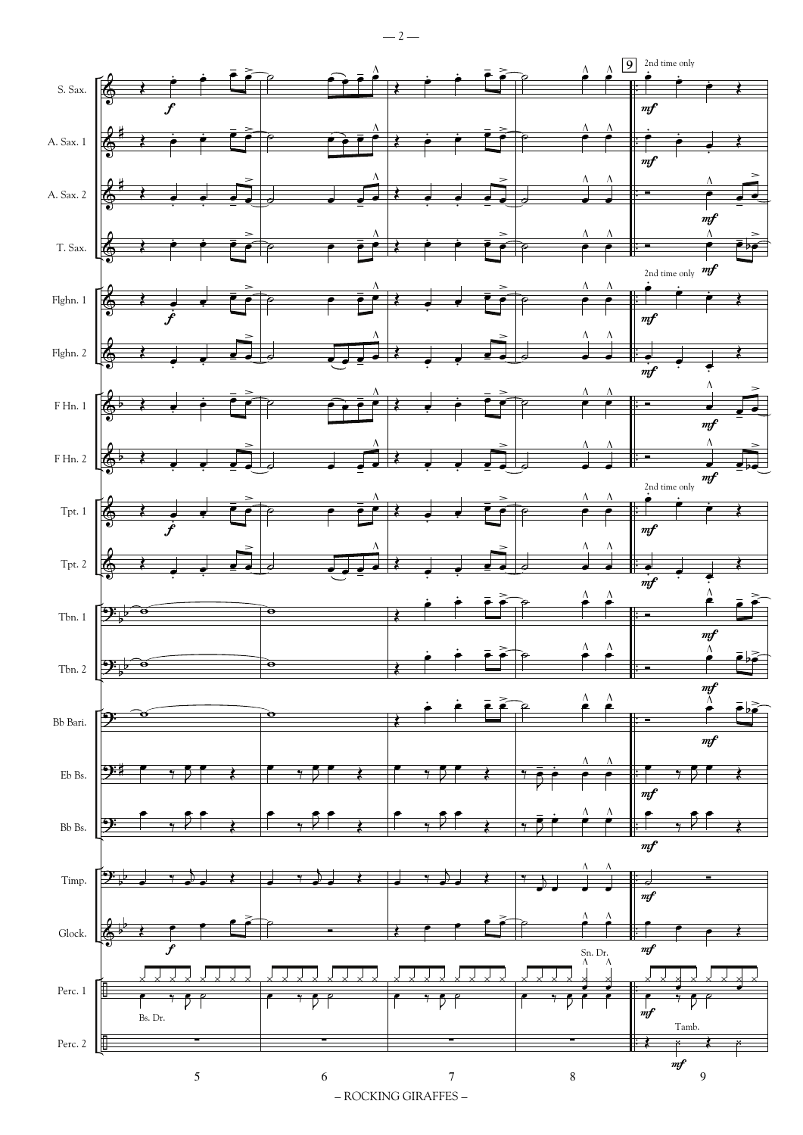

- ROCKING GIRAFFES -

 $-2-$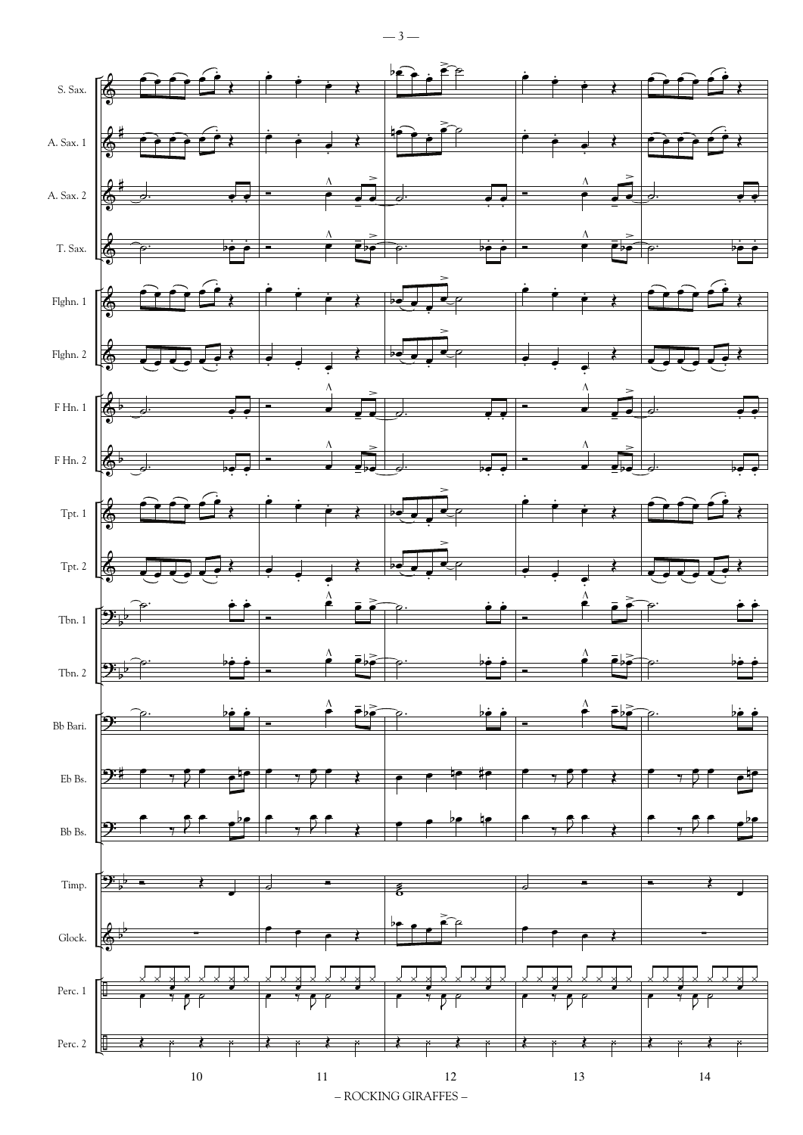

 $-3-$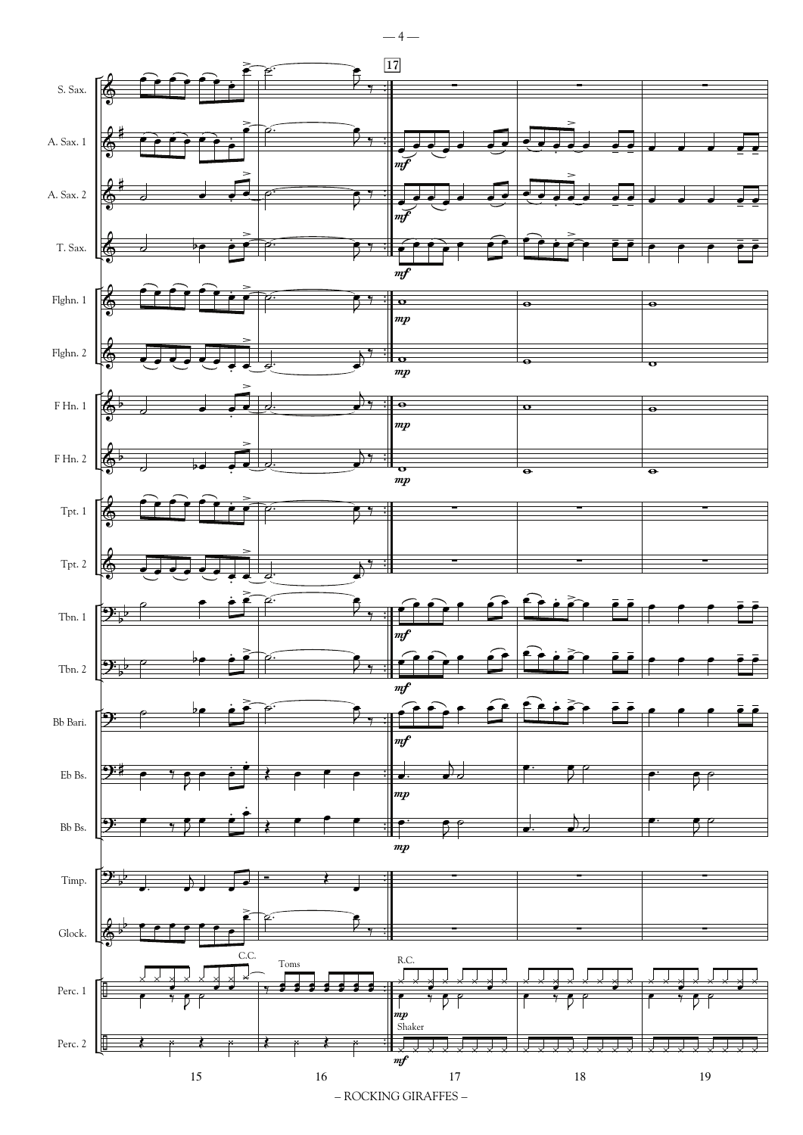

— 4 —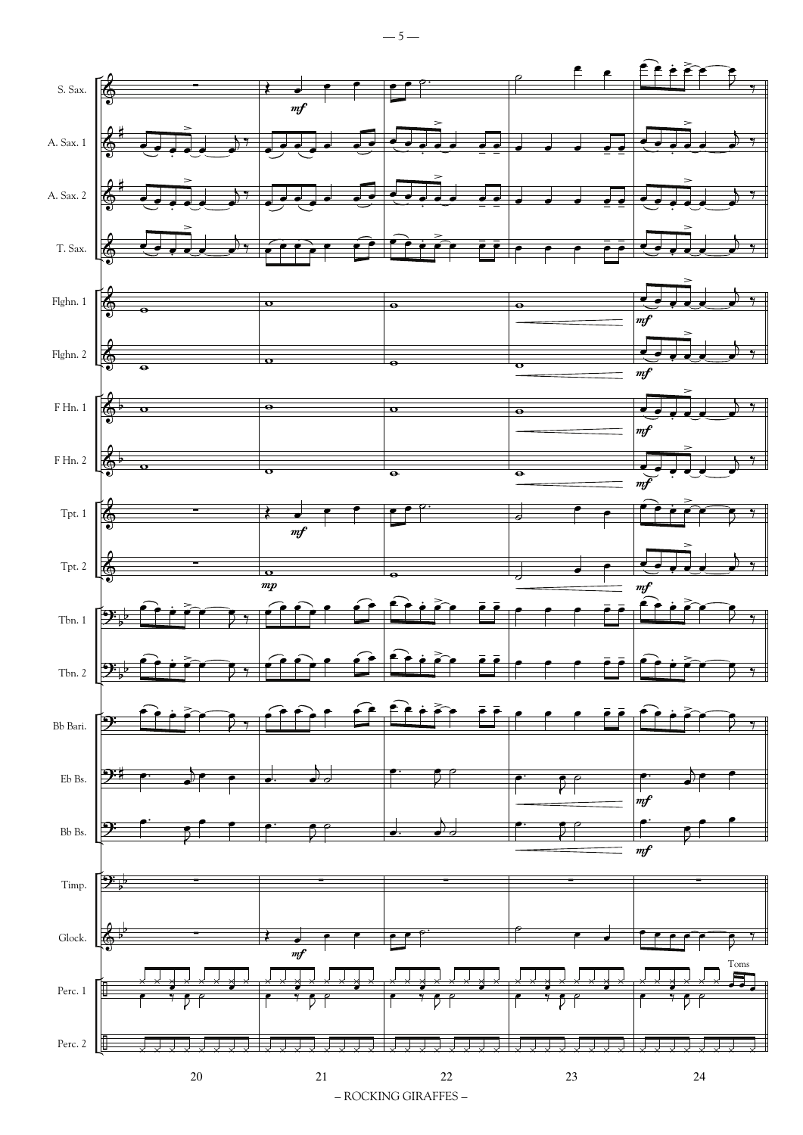